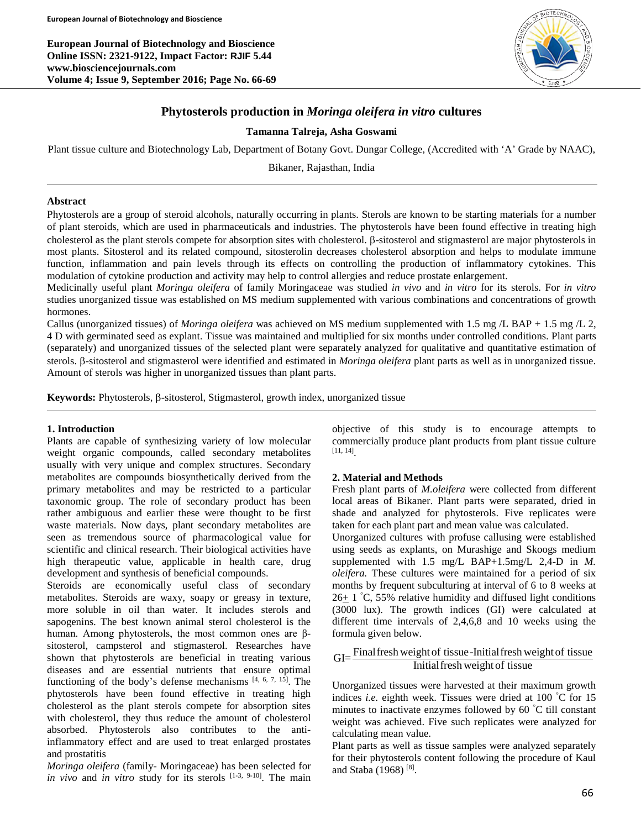**European Journal of Biotechnology and Bioscience Online ISSN: 2321-9122, Impact Factor: RJIF 5.44 www.biosciencejournals.com Volume 4; Issue 9, September 2016; Page No. 66-69**



# **Phytosterols production in** *Moringa oleifera in vitro* **cultures**

## **Tamanna Talreja, Asha Goswami**

Plant tissue culture and Biotechnology Lab, Department of Botany Govt. Dungar College, (Accredited with 'A' Grade by NAAC),

Bikaner, Rajasthan, India

## **Abstract**

Phytosterols are a group of steroid alcohols, naturally occurring in plants. Sterols are known to be starting materials for a number of plant steroids, which are used in pharmaceuticals and industries. The phytosterols have been found effective in treating high cholesterol as the plant sterols compete for absorption sites with cholesterol. β-sitosterol and stigmasterol are major phytosterols in most plants. Sitosterol and its related compound, sitosterolin decreases cholesterol absorption and helps to modulate immune function, inflammation and pain levels through its effects on controlling the production of inflammatory cytokines. This modulation of cytokine production and activity may help to control allergies and reduce prostate enlargement.

Medicinally useful plant *Moringa oleifera* of family Moringaceae was studied *in vivo* and *in vitro* for its sterols. For *in vitro* studies unorganized tissue was established on MS medium supplemented with various combinations and concentrations of growth hormones.

Callus (unorganized tissues) of *Moringa oleifera* was achieved on MS medium supplemented with 1.5 mg /L BAP + 1.5 mg /L 2, 4 D with germinated seed as explant. Tissue was maintained and multiplied for six months under controlled conditions. Plant parts (separately) and unorganized tissues of the selected plant were separately analyzed for qualitative and quantitative estimation of sterols. β-sitosterol and stigmasterol were identified and estimated in *Moringa oleifera* plant parts as well as in unorganized tissue. Amount of sterols was higher in unorganized tissues than plant parts.

**Keywords:** Phytosterols, β-sitosterol, Stigmasterol, growth index, unorganized tissue

#### **1. Introduction**

Plants are capable of synthesizing variety of low molecular weight organic compounds, called secondary metabolites usually with very unique and complex structures. Secondary metabolites are compounds biosynthetically derived from the primary metabolites and may be restricted to a particular taxonomic group. The role of secondary product has been rather ambiguous and earlier these were thought to be first waste materials. Now days, plant secondary metabolites are seen as tremendous source of pharmacological value for scientific and clinical research. Their biological activities have high therapeutic value, applicable in health care, drug development and synthesis of beneficial compounds.

Steroids are economically useful class of secondary metabolites. Steroids are waxy, soapy or greasy in texture, more soluble in oil than water. It includes sterols and sapogenins. The best known animal sterol cholesterol is the human. Among phytosterols, the most common ones are βsitosterol, campsterol and stigmasterol. Researches have shown that phytosterols are beneficial in treating various diseases and are essential nutrients that ensure optimal functioning of the body's defense mechanisms  $[4, 6, 7, 15]$ . The phytosterols have been found effective in treating high cholesterol as the plant sterols compete for absorption sites with cholesterol, they thus reduce the amount of cholesterol absorbed. Phytosterols also contributes to the antiinflammatory effect and are used to treat enlarged prostates and prostatitis

*Moringa oleifera* (family- Moringaceae) has been selected for *in vivo* and *in vitro* study for its sterols <sup>[1-3, 9-10]</sup>. The main objective of this study is to encourage attempts to commercially produce plant products from plant tissue culture [11, 14] .

#### **2. Material and Methods**

Fresh plant parts of *M.oleifera* were collected from different local areas of Bikaner. Plant parts were separated, dried in shade and analyzed for phytosterols. Five replicates were taken for each plant part and mean value was calculated.

Unorganized cultures with profuse callusing were established using seeds as explants, on Murashige and Skoogs medium supplemented with 1.5 mg/L BAP+1.5mg/L 2,4-D in *M. oleifera.* These cultures were maintained for a period of six months by frequent subculturing at interval of 6 to 8 weeks at  $26\pm$  1 °C, 55% relative humidity and diffused light conditions (3000 lux). The growth indices (GI) were calculated at different time intervals of 2,4,6,8 and 10 weeks using the formula given below.

GI= Final fresh weight of tissue-Initial fresh weight of tissue<br>Initial fresh weight of tissue

Unorganized tissues were harvested at their maximum growth indices *i.e.* eighth week. Tissues were dried at 100 ° C for 15 minutes to inactivate enzymes followed by 60 ° C till constant weight was achieved. Five such replicates were analyzed for calculating mean value.

Plant parts as well as tissue samples were analyzed separately for their phytosterols content following the procedure of Kaul and Staba (1968) [8].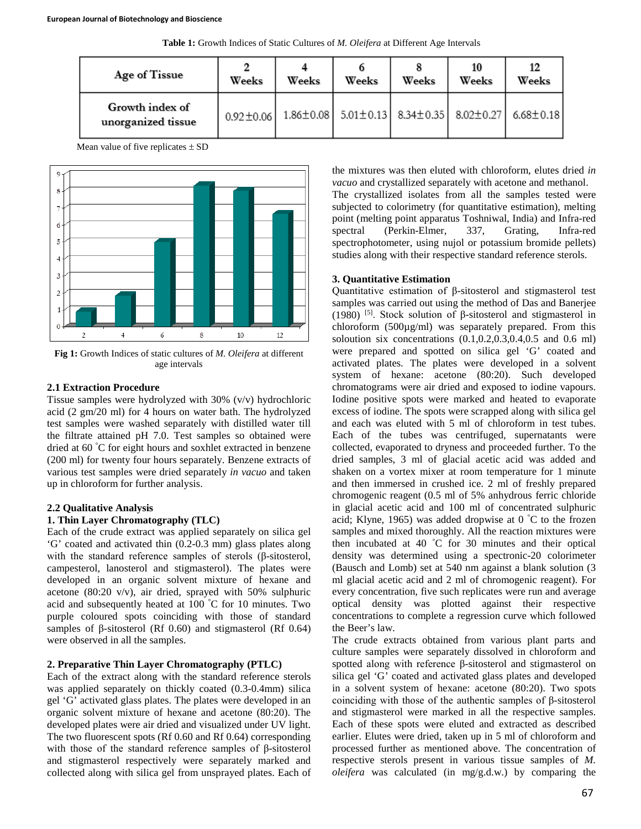|  |  |  | Table 1: Growth Indices of Static Cultures of M. Oleifera at Different Age Intervals |  |
|--|--|--|--------------------------------------------------------------------------------------|--|
|  |  |  |                                                                                      |  |

| Age of Tissue                         | Weeks           | Weeks | Weeks | Weeks | 10<br>Weeks                                                                   | 12<br>Weeks |
|---------------------------------------|-----------------|-------|-------|-------|-------------------------------------------------------------------------------|-------------|
| Growth index of<br>unorganized tissue | $0.92 \pm 0.06$ |       |       |       | $1.86\pm0.08$ 5.01 $\pm$ 0.13 8.34 $\pm$ 0.35 8.02 $\pm$ 0.27 6.68 $\pm$ 0.18 |             |

Mean value of five replicates  $\pm$  SD



**Fig 1:** Growth Indices of static cultures of *M. Oleifera* at different age intervals

### **2.1 Extraction Procedure**

Tissue samples were hydrolyzed with 30% (v/v) hydrochloric acid (2 gm/20 ml) for 4 hours on water bath. The hydrolyzed test samples were washed separately with distilled water till the filtrate attained pH 7.0. Test samples so obtained were dried at 60 ° C for eight hours and soxhlet extracted in benzene (200 ml) for twenty four hours separately. Benzene extracts of various test samples were dried separately *in vacuo* and taken up in chloroform for further analysis.

#### **2.2 Qualitative Analysis**

#### **1. Thin Layer Chromatography (TLC)**

Each of the crude extract was applied separately on silica gel 'G' coated and activated thin (0.2-0.3 mm) glass plates along with the standard reference samples of sterols (β-sitosterol, campesterol, lanosterol and stigmasterol). The plates were developed in an organic solvent mixture of hexane and acetone (80:20 v/v), air dried, sprayed with 50% sulphuric acid and subsequently heated at 100 ° C for 10 minutes. Two purple coloured spots coinciding with those of standard samples of β-sitosterol (Rf 0.60) and stigmasterol (Rf 0.64) were observed in all the samples.

## **2. Preparative Thin Layer Chromatography (PTLC)**

Each of the extract along with the standard reference sterols was applied separately on thickly coated (0.3-0.4mm) silica gel 'G' activated glass plates. The plates were developed in an organic solvent mixture of hexane and acetone (80:20). The developed plates were air dried and visualized under UV light. The two fluorescent spots (Rf 0.60 and Rf 0.64) corresponding with those of the standard reference samples of β-sitosterol and stigmasterol respectively were separately marked and collected along with silica gel from unsprayed plates. Each of the mixtures was then eluted with chloroform, elutes dried *in vacuo* and crystallized separately with acetone and methanol. The crystallized isolates from all the samples tested were subjected to colorimetry (for quantitative estimation), melting point (melting point apparatus Toshniwal, India) and Infra-red<br>spectral (Perkin-Elmer, 337, Grating, Infra-red (Perkin-Elmer, 337, Grating, Infra-red spectrophotometer, using nujol or potassium bromide pellets) studies along with their respective standard reference sterols.

## **3. Quantitative Estimation**

Quantitative estimation of β-sitosterol and stigmasterol test samples was carried out using the method of Das and Banerjee (1980) <sup>[5]</sup>. Stock solution of  $\beta$ -sitosterol and stigmasterol in chloroform (500µg/ml) was separately prepared. From this soloution six concentrations (0.1,0.2,0.3,0.4,0.5 and 0.6 ml) were prepared and spotted on silica gel 'G' coated and activated plates. The plates were developed in a solvent system of hexane: acetone (80:20). Such developed chromatograms were air dried and exposed to iodine vapours. Iodine positive spots were marked and heated to evaporate excess of iodine. The spots were scrapped along with silica gel and each was eluted with 5 ml of chloroform in test tubes. Each of the tubes was centrifuged, supernatants were collected, evaporated to dryness and proceeded further. To the dried samples, 3 ml of glacial acetic acid was added and shaken on a vortex mixer at room temperature for 1 minute and then immersed in crushed ice. 2 ml of freshly prepared chromogenic reagent (0.5 ml of 5% anhydrous ferric chloride in glacial acetic acid and 100 ml of concentrated sulphuric acid; Klyne, 1965) was added dropwise at  $0<sup>°</sup>C$  to the frozen samples and mixed thoroughly. All the reaction mixtures were then incubated at 40 ° C for 30 minutes and their optical density was determined using a spectronic-20 colorimeter (Bausch and Lomb) set at 540 nm against a blank solution (3 ml glacial acetic acid and 2 ml of chromogenic reagent). For every concentration, five such replicates were run and average optical density was plotted against their respective concentrations to complete a regression curve which followed the Beer's law.

The crude extracts obtained from various plant parts and culture samples were separately dissolved in chloroform and spotted along with reference β-sitosterol and stigmasterol on silica gel 'G' coated and activated glass plates and developed in a solvent system of hexane: acetone (80:20). Two spots coinciding with those of the authentic samples of β-sitosterol and stigmasterol were marked in all the respective samples. Each of these spots were eluted and extracted as described earlier. Elutes were dried, taken up in 5 ml of chloroform and processed further as mentioned above. The concentration of respective sterols present in various tissue samples of *M. oleifera* was calculated (in mg/g.d.w.) by comparing the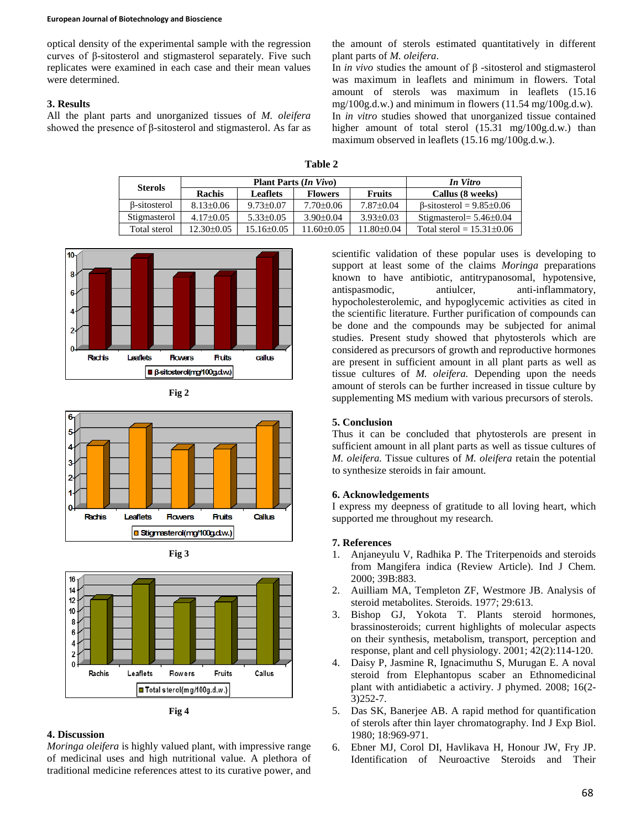#### **European Journal of Biotechnology and Bioscience**

optical density of the experimental sample with the regression curves of β-sitosterol and stigmasterol separately. Five such replicates were examined in each case and their mean values were determined.

## **3. Results**

All the plant parts and unorganized tissues of *M. oleifera* showed the presence of β-sitosterol and stigmasterol. As far as

the amount of sterols estimated quantitatively in different plant parts of *M. oleifera*.

In *in vivo* studies the amount of β -sitosterol and stigmasterol was maximum in leaflets and minimum in flowers. Total amount of sterols was maximum in leaflets (15.16 mg/100g.d.w.) and minimum in flowers (11.54 mg/100g.d.w). In *in vitro* studies showed that unorganized tissue contained higher amount of total sterol (15.31 mg/100g.d.w.) than maximum observed in leaflets (15.16 mg/100g.d.w.).

| <b>Sterols</b> |                 | <b>Plant Parts (In Vivo)</b> | In Vitro        |                  |                                       |
|----------------|-----------------|------------------------------|-----------------|------------------|---------------------------------------|
|                | <b>Rachis</b>   | Leaflets                     | <b>Flowers</b>  | <b>Fruits</b>    | Callus (8 weeks)                      |
| B-sitosterol   | $8.13 \pm 0.06$ | $9.73 \pm 0.07$              | $7.70 \pm 0.06$ | $7.87 \pm 0.04$  | $\beta$ -sitosterol = 9.85 $\pm$ 0.06 |
| Stigmasterol   | $4.17 \pm 0.05$ | $5.33 \pm 0.05$              | $3.90 \pm 0.04$ | $3.93 \pm 0.03$  | Stigmasterol = $5.46\pm0.04$          |
| Total sterol   | $12.30\pm0.05$  | $15.16 \pm 0.05$             | $1.60\pm0.05$   | $11.80 \pm 0.04$ | Total sterol = $15.31\pm0.06$         |



**Fig 2**







**Fig 4**

## **4. Discussion**

*Moringa oleifera* is highly valued plant, with impressive range of medicinal uses and high nutritional value. A plethora of traditional medicine references attest to its curative power, and

scientific validation of these popular uses is developing to support at least some of the claims *Moringa* preparations known to have antibiotic, antitrypanosomal, hypotensive, antispasmodic, antiulcer, anti-inflammatory, hypocholesterolemic, and hypoglycemic activities as cited in the scientific literature. Further purification of compounds can be done and the compounds may be subjected for animal studies. Present study showed that phytosterols which are considered as precursors of growth and reproductive hormones are present in sufficient amount in all plant parts as well as tissue cultures of *M. oleifera.* Depending upon the needs amount of sterols can be further increased in tissue culture by supplementing MS medium with various precursors of sterols.

## **5. Conclusion**

Thus it can be concluded that phytosterols are present in sufficient amount in all plant parts as well as tissue cultures of *M. oleifera.* Tissue cultures of *M. oleifera* retain the potential to synthesize steroids in fair amount.

#### **6. Acknowledgements**

I express my deepness of gratitude to all loving heart, which supported me throughout my research.

#### **7. References**

- 1. Anjaneyulu V, Radhika P. The Triterpenoids and steroids from Mangifera indica (Review Article). Ind J Chem. 2000; 39B:883.
- 2. Auilliam MA, Templeton ZF, Westmore JB. Analysis of steroid metabolites. Steroids. 1977; 29:613.
- 3. Bishop GJ, Yokota T. Plants steroid hormones, brassinosteroids; current highlights of molecular aspects on their synthesis, metabolism, transport, perception and response, plant and cell physiology. 2001; 42(2):114-120.
- 4. Daisy P, Jasmine R, Ignacimuthu S, Murugan E. A noval steroid from Elephantopus scaber an Ethnomedicinal plant with antidiabetic a activiry. J phymed. 2008; 16(2- 3)252-7.
- 5. Das SK, Banerjee AB. A rapid method for quantification of sterols after thin layer chromatography. Ind J Exp Biol. 1980; 18:969-971.
- 6. Ebner MJ, Corol DI, Havlikava H, Honour JW, Fry JP. Identification of Neuroactive Steroids and Their